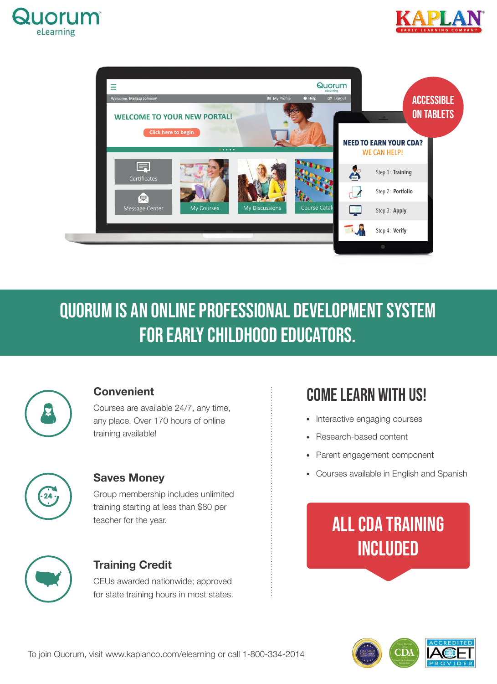





# Quorum is an online professional development system for early childhood educators.



### **Convenient**

Courses are available 24/7, any time, any place. Over 170 hours of online training available!



### **Saves Money**

Group membership includes unlimited training starting at less than \$80 per teacher for the year.



### **Training Credit**

CEUs awarded nationwide; approved for state training hours in most states.

## COME LEARN WITH US!

- Interactive engaging courses
- Research-based content
- Parent engagement component
- Courses available in English and Spanish

## All CDA training included